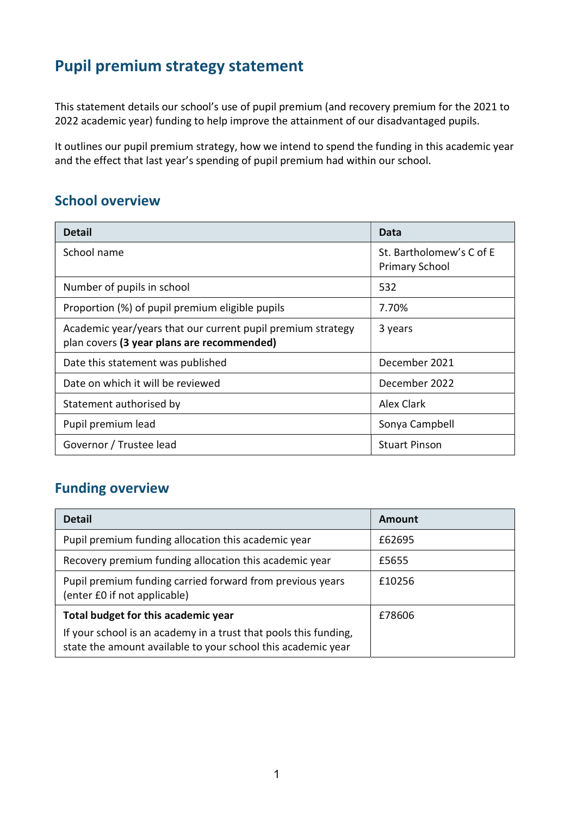## Pupil premium strategy statement

This statement details our school's use of pupil premium (and recovery premium for the 2021 to 2022 academic year) funding to help improve the attainment of our disadvantaged pupils.

It outlines our pupil premium strategy, how we intend to spend the funding in this academic year and the effect that last year's spending of pupil premium had within our school.

#### School overview

| <b>Detail</b>                                                                                             | Data                                              |
|-----------------------------------------------------------------------------------------------------------|---------------------------------------------------|
| School name                                                                                               | St. Bartholomew's C of E<br><b>Primary School</b> |
| Number of pupils in school                                                                                | 532                                               |
| Proportion (%) of pupil premium eligible pupils                                                           | 7.70%                                             |
| Academic year/years that our current pupil premium strategy<br>plan covers (3 year plans are recommended) | 3 years                                           |
| Date this statement was published                                                                         | December 2021                                     |
| Date on which it will be reviewed                                                                         | December 2022                                     |
| Statement authorised by                                                                                   | <b>Alex Clark</b>                                 |
| Pupil premium lead                                                                                        | Sonya Campbell                                    |
| Governor / Trustee lead                                                                                   | <b>Stuart Pinson</b>                              |

## Funding overview

| <b>Detail</b>                                                                                                                    | Amount |
|----------------------------------------------------------------------------------------------------------------------------------|--------|
| Pupil premium funding allocation this academic year                                                                              | £62695 |
| Recovery premium funding allocation this academic year                                                                           | £5655  |
| Pupil premium funding carried forward from previous years<br>(enter £0 if not applicable)                                        | £10256 |
| Total budget for this academic year                                                                                              | £78606 |
| If your school is an academy in a trust that pools this funding,<br>state the amount available to your school this academic year |        |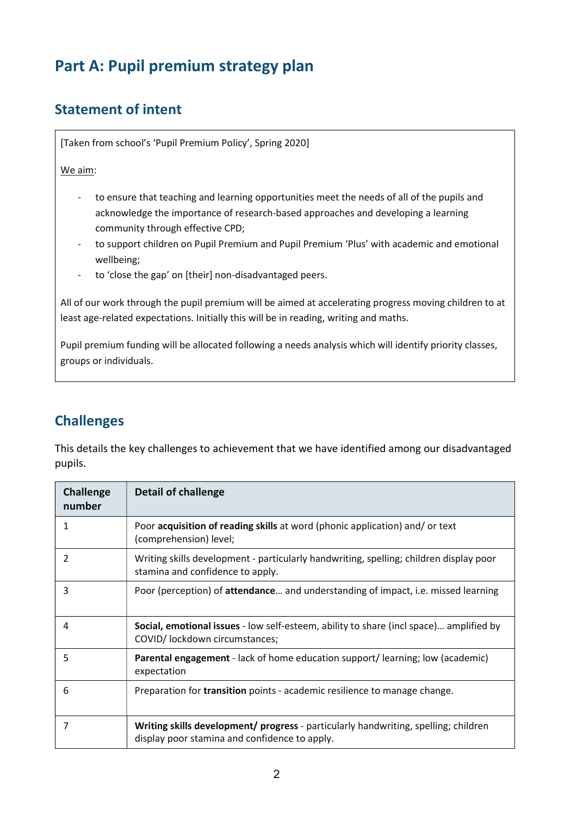# Part A: Pupil premium strategy plan

## Statement of intent

[Taken from school's 'Pupil Premium Policy', Spring 2020]

#### We aim:

- to ensure that teaching and learning opportunities meet the needs of all of the pupils and acknowledge the importance of research-based approaches and developing a learning community through effective CPD;
- to support children on Pupil Premium and Pupil Premium 'Plus' with academic and emotional wellbeing;
- to 'close the gap' on [their] non-disadvantaged peers.

All of our work through the pupil premium will be aimed at accelerating progress moving children to at least age-related expectations. Initially this will be in reading, writing and maths.

Pupil premium funding will be allocated following a needs analysis which will identify priority classes, groups or individuals.

## **Challenges**

This details the key challenges to achievement that we have identified among our disadvantaged pupils.

| <b>Challenge</b><br>number | <b>Detail of challenge</b>                                                                                                           |
|----------------------------|--------------------------------------------------------------------------------------------------------------------------------------|
| 1                          | Poor acquisition of reading skills at word (phonic application) and/ or text<br>(comprehension) level;                               |
| $\mathcal{P}$              | Writing skills development - particularly handwriting, spelling; children display poor<br>stamina and confidence to apply.           |
| 3                          | Poor (perception) of attendance and understanding of impact, i.e. missed learning                                                    |
| 4                          | Social, emotional issues - low self-esteem, ability to share (incl space) amplified by<br>COVID/ lockdown circumstances;             |
| 5                          | Parental engagement - lack of home education support/learning; low (academic)<br>expectation                                         |
| 6                          | Preparation for <b>transition</b> points - academic resilience to manage change.                                                     |
| 7                          | Writing skills development/ progress - particularly handwriting, spelling; children<br>display poor stamina and confidence to apply. |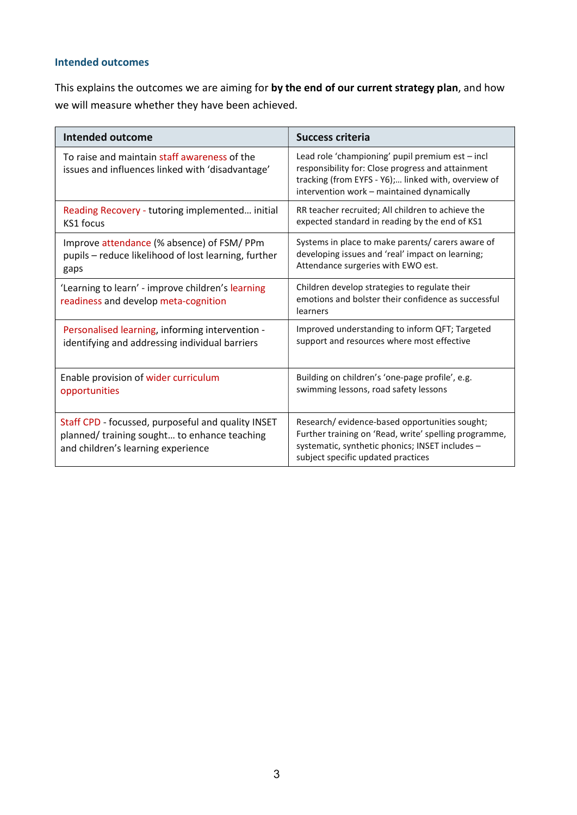#### Intended outcomes

This explains the outcomes we are aiming for by the end of our current strategy plan, and how we will measure whether they have been achieved.

| <b>Intended outcome</b>                                                                                                                 | <b>Success criteria</b>                                                                                                                                                                                    |
|-----------------------------------------------------------------------------------------------------------------------------------------|------------------------------------------------------------------------------------------------------------------------------------------------------------------------------------------------------------|
| To raise and maintain staff awareness of the<br>issues and influences linked with 'disadvantage'                                        | Lead role 'championing' pupil premium est - incl<br>responsibility for: Close progress and attainment<br>tracking (from EYFS - Y6); linked with, overview of<br>intervention work - maintained dynamically |
| Reading Recovery - tutoring implemented initial                                                                                         | RR teacher recruited; All children to achieve the                                                                                                                                                          |
| KS1 focus                                                                                                                               | expected standard in reading by the end of KS1                                                                                                                                                             |
| Improve attendance (% absence) of FSM/PPm                                                                                               | Systems in place to make parents/ carers aware of                                                                                                                                                          |
| pupils - reduce likelihood of lost learning, further                                                                                    | developing issues and 'real' impact on learning;                                                                                                                                                           |
| gaps                                                                                                                                    | Attendance surgeries with EWO est.                                                                                                                                                                         |
| 'Learning to learn' - improve children's learning<br>readiness and develop meta-cognition                                               | Children develop strategies to regulate their<br>emotions and bolster their confidence as successful<br>learners                                                                                           |
| Personalised learning, informing intervention -                                                                                         | Improved understanding to inform QFT; Targeted                                                                                                                                                             |
| identifying and addressing individual barriers                                                                                          | support and resources where most effective                                                                                                                                                                 |
| Enable provision of wider curriculum                                                                                                    | Building on children's 'one-page profile', e.g.                                                                                                                                                            |
| opportunities                                                                                                                           | swimming lessons, road safety lessons                                                                                                                                                                      |
| Staff CPD - focussed, purposeful and quality INSET<br>planned/training sought to enhance teaching<br>and children's learning experience | Research/evidence-based opportunities sought;<br>Further training on 'Read, write' spelling programme,<br>systematic, synthetic phonics; INSET includes -<br>subject specific updated practices            |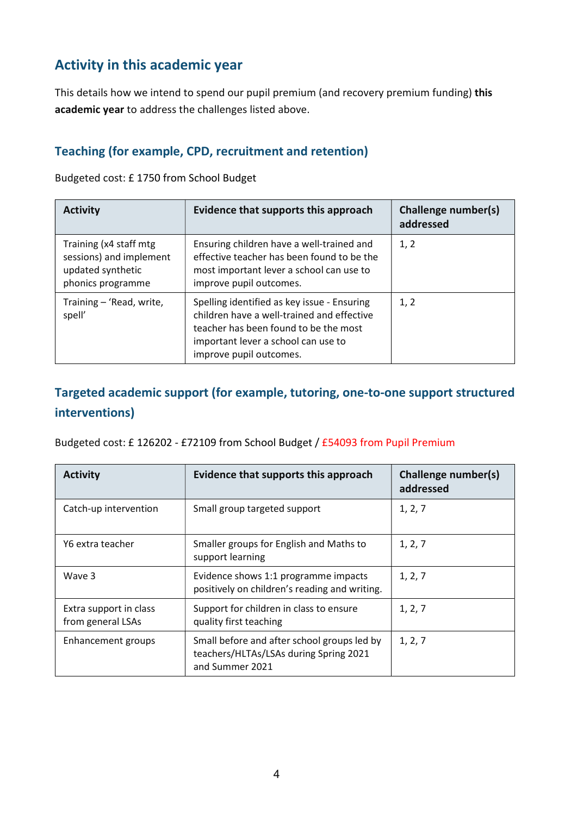## Activity in this academic year

This details how we intend to spend our pupil premium (and recovery premium funding) this academic year to address the challenges listed above.

#### Teaching (for example, CPD, recruitment and retention)

Budgeted cost: £ 1750 from School Budget

| <b>Activity</b>                                                                             | Evidence that supports this approach                                                                                                                                                                 | Challenge number(s)<br>addressed |
|---------------------------------------------------------------------------------------------|------------------------------------------------------------------------------------------------------------------------------------------------------------------------------------------------------|----------------------------------|
| Training (x4 staff mtg<br>sessions) and implement<br>updated synthetic<br>phonics programme | Ensuring children have a well-trained and<br>effective teacher has been found to be the<br>most important lever a school can use to<br>improve pupil outcomes.                                       | 1, 2                             |
| Training - 'Read, write,<br>spell'                                                          | Spelling identified as key issue - Ensuring<br>children have a well-trained and effective<br>teacher has been found to be the most<br>important lever a school can use to<br>improve pupil outcomes. | 1, 2                             |

### Targeted academic support (for example, tutoring, one-to-one support structured interventions)

Budgeted cost: £ 126202 - £72109 from School Budget / £54093 from Pupil Premium

| <b>Activity</b>                             | Evidence that supports this approach                                                                     | Challenge number(s)<br>addressed |
|---------------------------------------------|----------------------------------------------------------------------------------------------------------|----------------------------------|
| Catch-up intervention                       | Small group targeted support                                                                             | 1, 2, 7                          |
| Y6 extra teacher                            | Smaller groups for English and Maths to<br>support learning                                              | 1, 2, 7                          |
| Wave 3                                      | Evidence shows 1:1 programme impacts<br>positively on children's reading and writing.                    | 1, 2, 7                          |
| Extra support in class<br>from general LSAs | Support for children in class to ensure<br>quality first teaching                                        | 1, 2, 7                          |
| Enhancement groups                          | Small before and after school groups led by<br>teachers/HLTAs/LSAs during Spring 2021<br>and Summer 2021 | 1, 2, 7                          |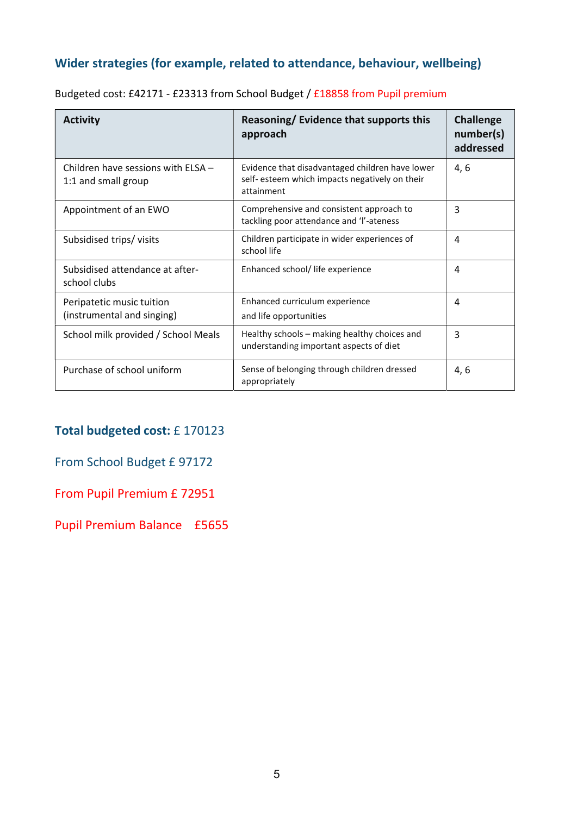## Wider strategies (for example, related to attendance, behaviour, wellbeing)

| <b>Activity</b>                                           | Reasoning/ Evidence that supports this<br>approach                                                              | <b>Challenge</b><br>number(s)<br>addressed |
|-----------------------------------------------------------|-----------------------------------------------------------------------------------------------------------------|--------------------------------------------|
| Children have sessions with ELSA -<br>1:1 and small group | Evidence that disadvantaged children have lower<br>self- esteem which impacts negatively on their<br>attainment | 4,6                                        |
| Appointment of an EWO                                     | Comprehensive and consistent approach to<br>tackling poor attendance and 'l'-ateness                            | 3                                          |
| Subsidised trips/visits                                   | Children participate in wider experiences of<br>school life                                                     | 4                                          |
| Subsidised attendance at after-<br>school clubs           | Enhanced school/ life experience                                                                                | 4                                          |
| Peripatetic music tuition<br>(instrumental and singing)   | Enhanced curriculum experience<br>and life opportunities                                                        | 4                                          |
| School milk provided / School Meals                       | Healthy schools - making healthy choices and<br>understanding important aspects of diet                         | 3                                          |
| Purchase of school uniform                                | Sense of belonging through children dressed<br>appropriately                                                    | 4, 6                                       |

Budgeted cost: £42171 - £23313 from School Budget / £18858 from Pupil premium

#### Total budgeted cost: £ 170123

#### From School Budget £ 97172

#### From Pupil Premium £ 72951

Pupil Premium Balance £5655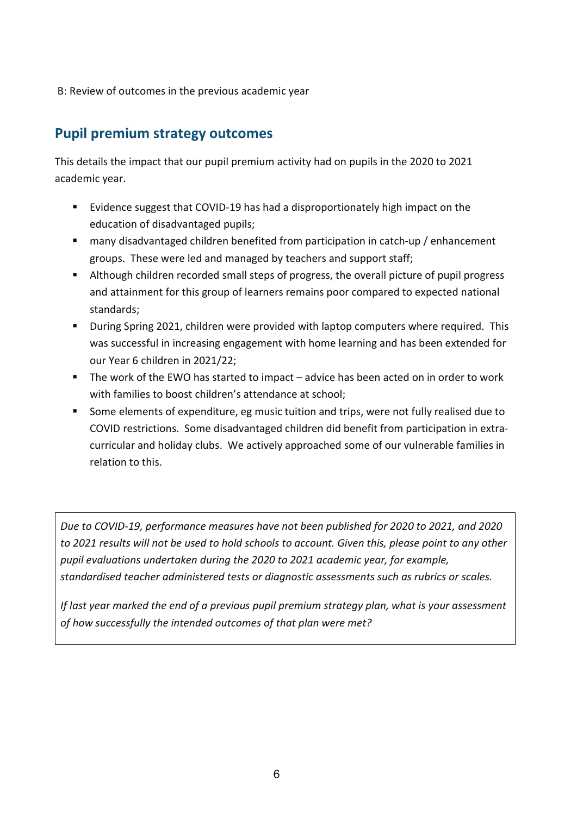B: Review of outcomes in the previous academic year

### Pupil premium strategy outcomes

This details the impact that our pupil premium activity had on pupils in the 2020 to 2021 academic year.

- Evidence suggest that COVID-19 has had a disproportionately high impact on the education of disadvantaged pupils;
- many disadvantaged children benefited from participation in catch-up / enhancement groups. These were led and managed by teachers and support staff;
- Although children recorded small steps of progress, the overall picture of pupil progress and attainment for this group of learners remains poor compared to expected national standards;
- During Spring 2021, children were provided with laptop computers where required. This was successful in increasing engagement with home learning and has been extended for our Year 6 children in 2021/22;
- The work of the EWO has started to impact advice has been acted on in order to work with families to boost children's attendance at school;
- **Some elements of expenditure, eg music tuition and trips, were not fully realised due to** COVID restrictions. Some disadvantaged children did benefit from participation in extracurricular and holiday clubs. We actively approached some of our vulnerable families in relation to this.

Due to COVID-19, performance measures have not been published for 2020 to 2021, and 2020 to 2021 results will not be used to hold schools to account. Given this, please point to any other pupil evaluations undertaken during the 2020 to 2021 academic year, for example, standardised teacher administered tests or diagnostic assessments such as rubrics or scales.

If last year marked the end of a previous pupil premium strategy plan, what is your assessment of how successfully the intended outcomes of that plan were met?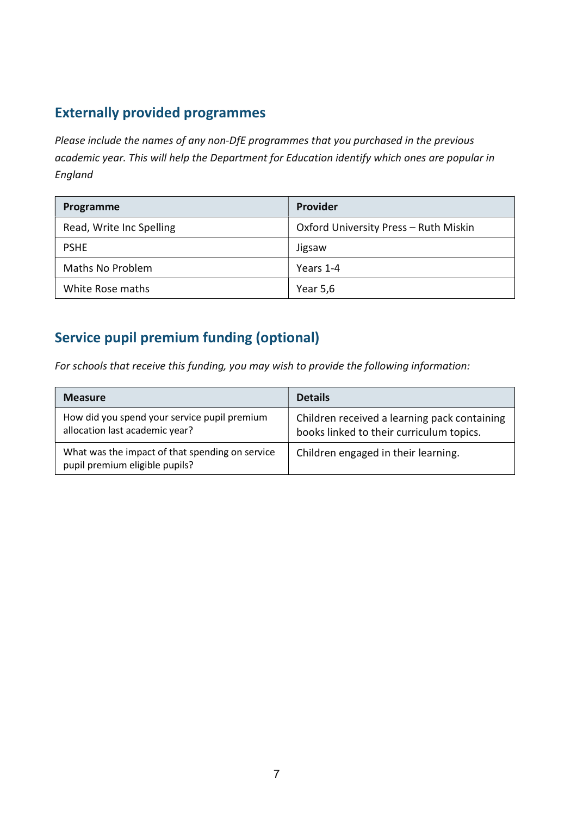## Externally provided programmes

Please include the names of any non-DfE programmes that you purchased in the previous academic year. This will help the Department for Education identify which ones are popular in England

| Programme                | <b>Provider</b>                       |
|--------------------------|---------------------------------------|
| Read, Write Inc Spelling | Oxford University Press - Ruth Miskin |
| <b>PSHE</b>              | Jigsaw                                |
| <b>Maths No Problem</b>  | Years 1-4                             |
| White Rose maths         | Year 5,6                              |

## Service pupil premium funding (optional)

For schools that receive this funding, you may wish to provide the following information:

| <b>Measure</b>                                                                    | <b>Details</b>                                                                           |
|-----------------------------------------------------------------------------------|------------------------------------------------------------------------------------------|
| How did you spend your service pupil premium<br>allocation last academic year?    | Children received a learning pack containing<br>books linked to their curriculum topics. |
| What was the impact of that spending on service<br>pupil premium eligible pupils? | Children engaged in their learning.                                                      |